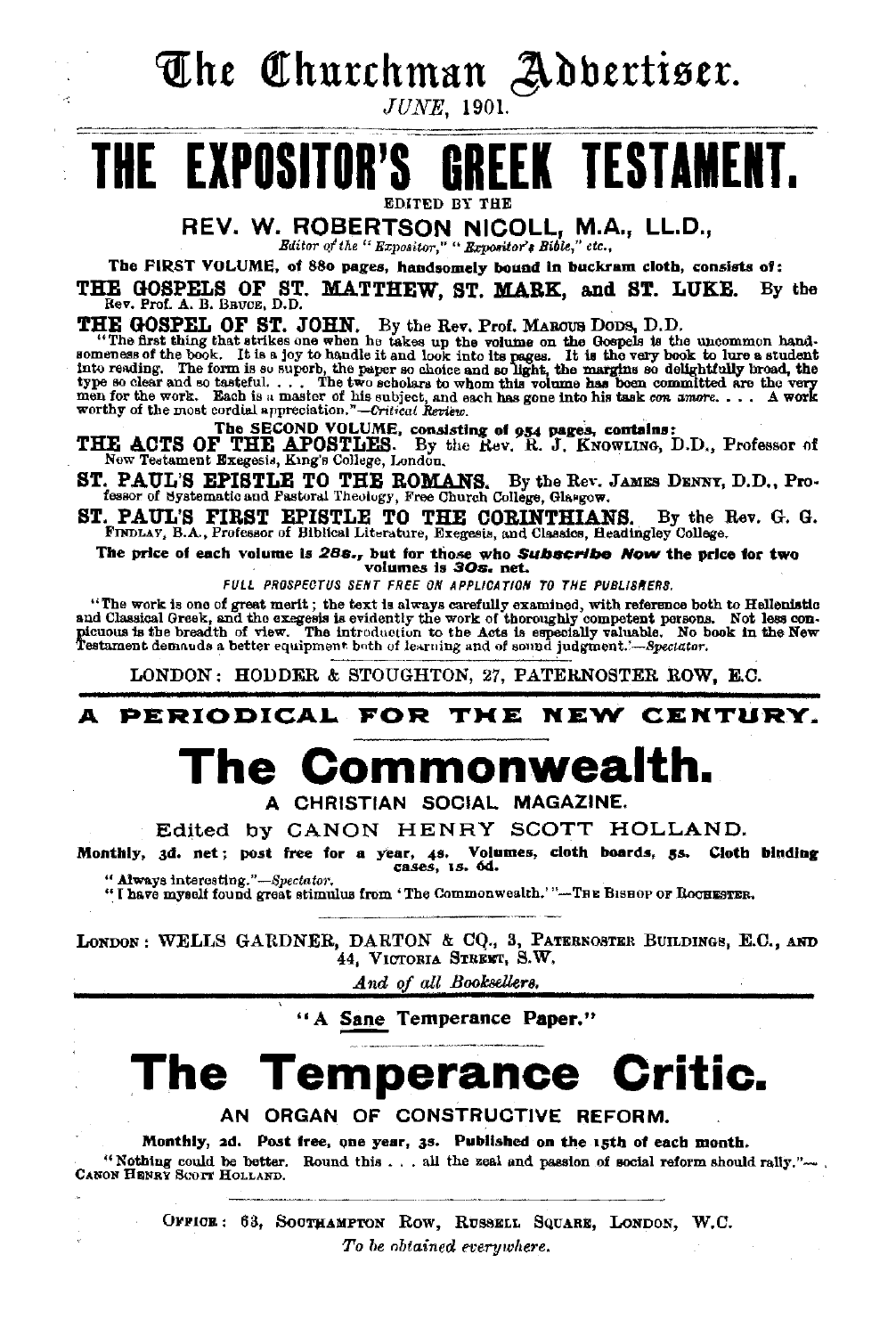The Churchman Addertiser.

**JUNE**, 1901.

# **GREEK TESTAMEN** THE EXPOSITOR

REV. W. ROBERTSON NICOLL, M.A., LL.D.,

Editor of the " Expositor," " Expositor's Bible," etc.,

The FIRST VOLUME, of 880 pages, handsomely bound in buckram cloth, consists of:

THE GOSPELS OF ST. MATTHEW, ST. MARK, and ST. LUKE. By the Rev. Prof. A. B. Bavcs, D.D.

THE GOSPEL OF ST. JOHN. By the Rev. Prof. MAROUS DODS, D.D.<br>
"The first thing that strikes one when he takes up the volume on the Gospels is the uncommon hand-<br>
"The first thing that strikes one when he takes up the volume

The SECOND VOLUME, consisting of 954 pages, contains:<br>THE ACTS OF THE APOSTLES. By the Rev. R. J. KNOWLING, D.D., Professor of New Testament Exegesis, King's College, London.

ST. PAUL'S EPISTLE TO THE ROMANS. By the Rev. JAMES DENNY, D.D., Professor of Systematic and Pastoral Theology, Free Church College, Glasgow.

ST. PAUL'S FIRST EPISTLE TO THE CORINTHIANS. By the I FINDLAY, B.A., Professor of Biblical Literature, Exegesis, and Classics, Headingley College. By the Rev. G. G.

The price of each volume is 28s., but for those who Subscribe Now the price for two<br>volumes is 30s. net.

FULL PROSPECTUS SENT FREE ON APPLICATION TO THE PUBLISHERS.

"The work is one of great merit; the text is always carefully examined, with reference both to Hellenistic and Classical Greek, and the exergesis is evidently the work of thoroughly competent persons. Not less con-<br>picuous is the breadth of view. The introduction to the Acts is especially valuable. No book in the New picuous is the breadth of view. The introduction to the about its capochany contract.<br>Testament demands a better equipment both of learning and of sound judgment.'—Spectator.

LONDON: HODDER & STOUGHTON, 27, PATERNOSTER ROW, E.C.

#### PERIODICAL FOR THE NEW CENTURY.

# The Commonwealth.

A CHRISTIAN SOCIAL MAGAZINE.

Edited by CANON HENRY SCOTT HOLLAND.

Monthly, 3d. net; post free for a year, 4s. Volumes, cloth boards, 5s. Cloth binding cases, 1s. 6d. " Always interesting."-Spectator.

"I have myself found great stimulus from 'The Commonwealth.'"-THE BISHOP OF ROCHESTER.

LONDON: WELLS GARDNER, DARTON & CQ., 3, PATERNOSTER BUILDINGS, E.C., AND 44, VICTORIA STREET, S.W.

And of all Booksellers.

"A Sane Temperance Paper."

# The Temperance Critic.

AN ORGAN OF CONSTRUCTIVE REFORM.

Monthly, 2d. Post free, one year, 3s. Published on the 15th of each month. "Nothing could be better. Round this ... all the zeal and passion of social reform should rally."-- CANON HENRY SCOTT HOLLAND.

> OFFICE: 63, SOCTHAMPTON ROW, RUSSELL SQUARE, LONDON, W.C. To be obtained everywhere.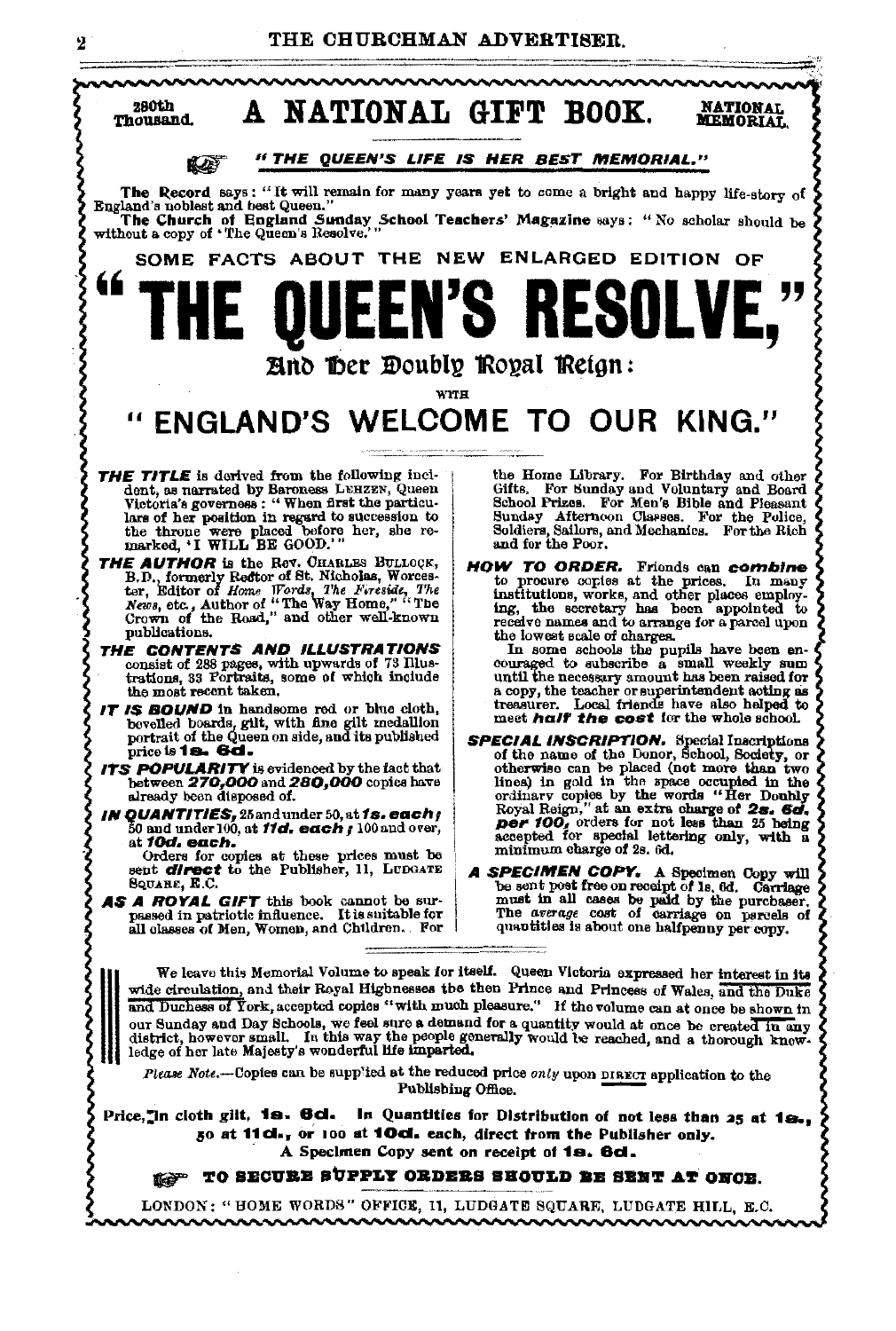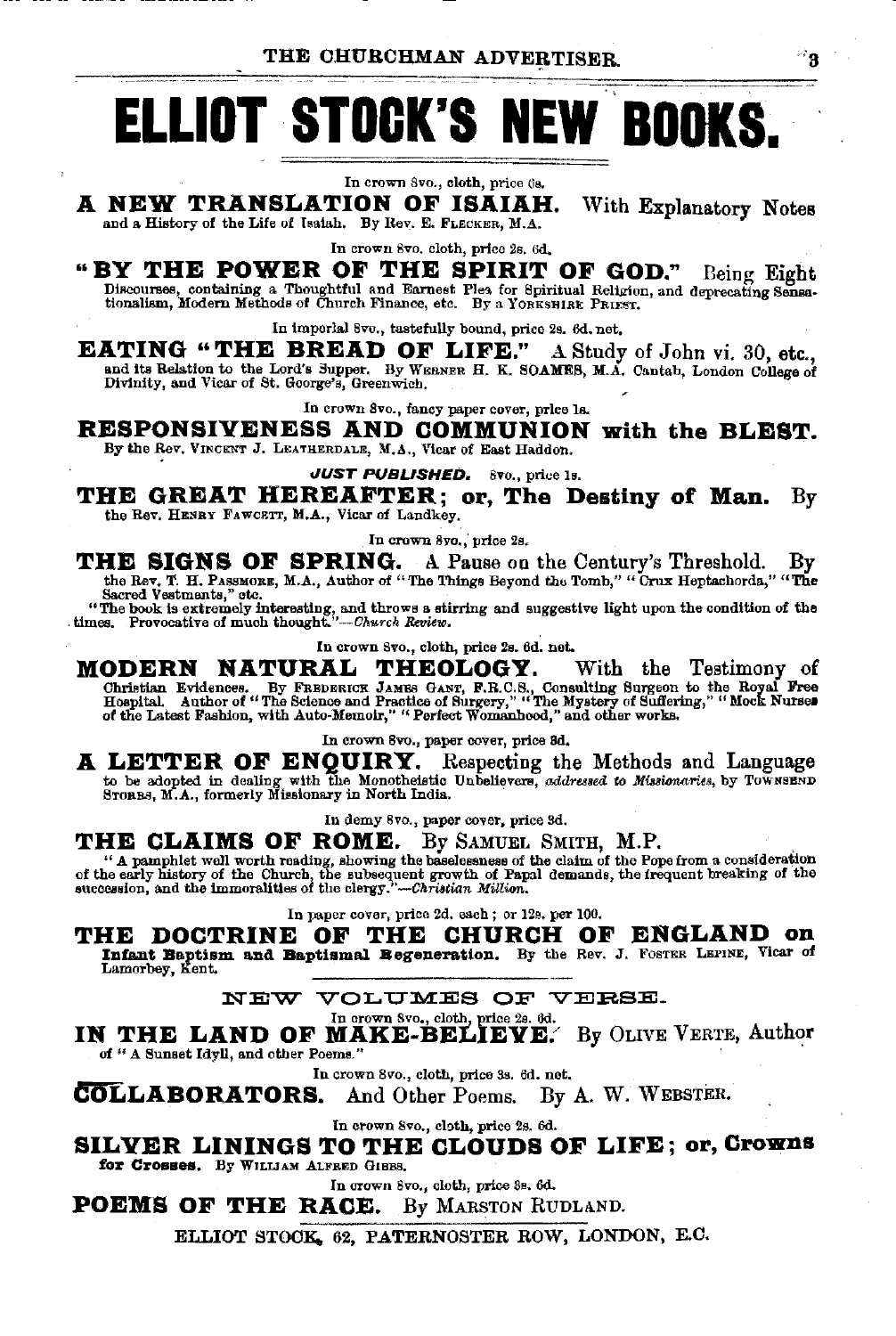THE CHURCHMAN ADVERTISER.

# **ELLIOT STOCK'S NEW BOOKS.**

In crown 8vo., cloth, price 6s.

#### A NEW TRANSLATION OF ISAIAH. With Explanatory Notes and a History of the Life of Isaiah. By Rev. E. FLECKER, M.A.

#### In crown 8vo, cloth, price 2s, 6d, "BY THE POWER OF THE SPIRIT OF GOD." Being Eight

Discourses, containing a Thoughtful and Earnest Plea for Spiritual Religion, and deprecating Sensa-<br>tionalism, Modern Methods of Church Finance, etc. By a YORKSHIRE PRIEST.

In imperial 8ve., tastefully bound, price 2s. 6d. net.

EATING "THE BREAD OF LIFE." A Study of John vi. 30, etc., and its Relation to the Lord's Supper. By WEENER H. K. SOAMES, M.A. Cantab, London College of Divinity, and Vicar of St. George's, Greenwich.

In crown 8vo., fancy paper cover, price la.

RESPONSIVENESS AND COMMUNION with the BLEST. By the Rev. VINCENT J. LEATHERDALE, M.A., Vicar of East Haddon.

JUST PUBLISHED. 8vo., price 1s.

THE GREAT HEREAFTER; or, The Destiny of Man.  $By$ the Rev. HENRY FAWCETT, M.A., Vicar of Landkey.

In crown 8yo., price 2s.

**THE SIGNS OF SPRING.** A Pause on the Century's Threshold. By the Rev. T. H. PASSMORE, M.A., Author of "The Things Beyond the Tomb," "Crux Heptachords," "The Sacred Vestments," etc.

"The book is extremely interesting, and throws a stirring and suggestive light upon the condition of the times. Provocative of much thought."-Church Review.

In crown Svo., cloth, price 2s. 6d. net.

MODERN NATURAL THEOLOGY. With the Testimony of Christian Evidences. By FREDERICK JAMES GANT, F.R.C.S., Consulting Surgeon to the Royal Free Hospital. Author of "The Science and Practice of Surgery," "The Mystery of Sufferi

In crown 8vo., paper cover, price 3d.

A LETTER OF ENQUIRY. Respecting the Methods and Language to be adopted in dealing with the Monotheistic Unbelievers, addressed to Missionaries, by TOWNEEND STORES, M.A., formerly Missionary in North India.

In demy 8vo., paper cover, price 3d.

## THE CLAIMS OF ROME. By SAMUEL SMITH, M.P.

The anti-time and the contract of the contract of the claim of the Pope from a consideration<br>of the early history of the Church, the subsequent growth of Papal demands, the frequent breaking of the<br>succession, and the immo

In paper cover, price 2d. each; or 12s. per 100.

THE DOCTRINE OF THE CHURCH OF ENGLAND on Infant Baptism and Baptismal Begeneration. By the Rev. J. FOSTER LEFINE, Vicar of Lanorbey, Kent.

NEW VOLUMES OF VERSE.

In crown 8vo., cloth, price 2s. 6d.

IN THE LAND OF MAKE-BELIEVE. By OLIVE VERTE, Author of " A Sunset Idyll, and other Poems."

In crown 8vo., cloth, price 3s. 6d. net.

COLLABORATORS.  $By A. W. WEBSTER.$ And Other Poems.

In crown 8vo., cloth, price 2s. 6d.

SILYER LININGS TO THE CLOUDS OF LIFE; or, Crowns for Crosses. By WILLIAM ALFRED GIBBS.

In crown 8vo., cloth, price 3s, 6d.

**POEMS OF THE RACE.** By MARSTON RUDLAND.

ELLIOT STOCK, 62, PATERNOSTER ROW, LONDON, E.C.

୍ଥ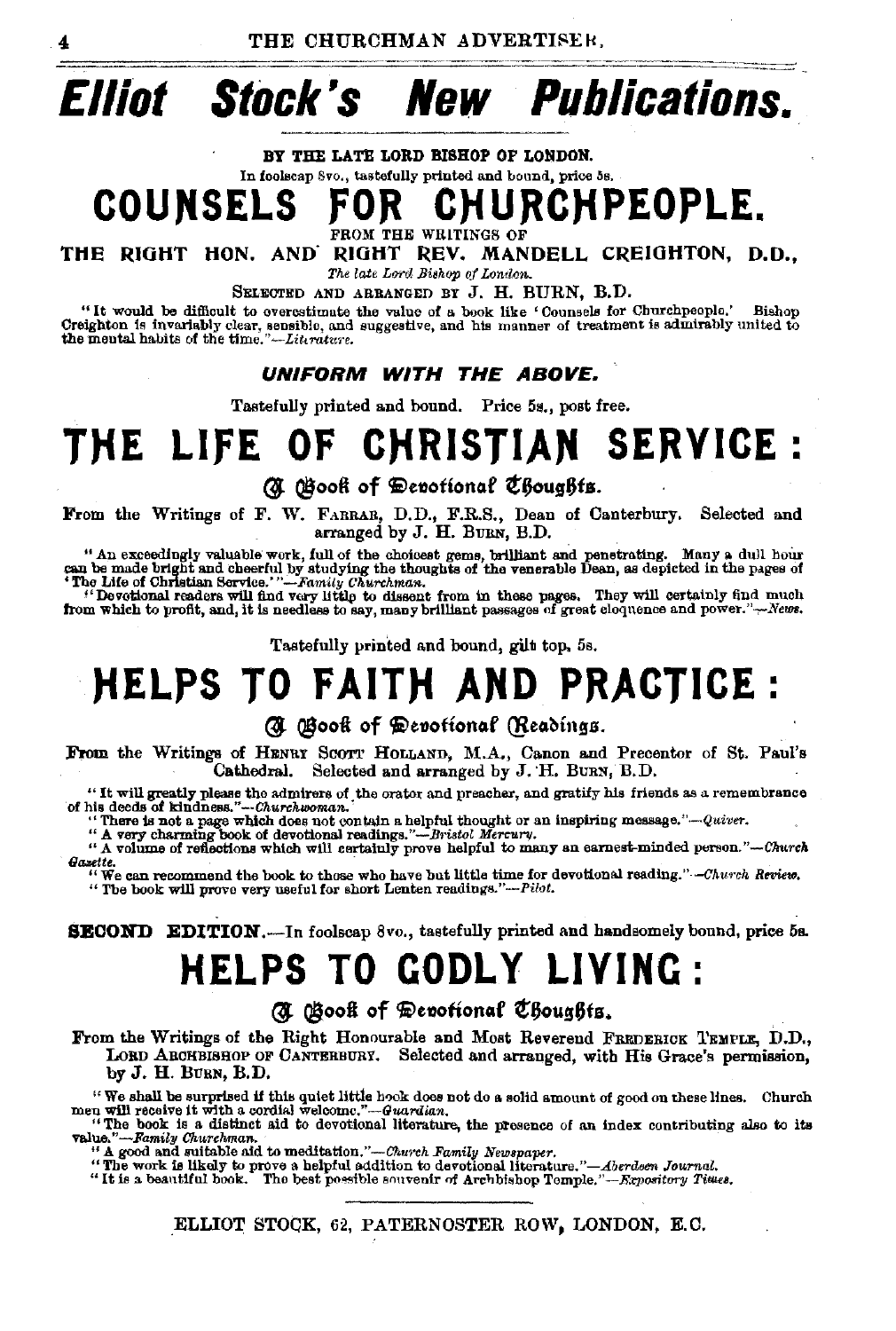#### **Elliot Stock's Publications.** New

#### BY THE LATE LORD BISHOP OF LONDON.

In foolscap 8vo., tastefully printed and bound, price 5s.

#### **HURCHPEOPLE. COUNSELS**

FROM THE WRITINGS OF

THE RIGHT HON. AND RIGHT REV. MANDELL CREIGHTON, D.D.,

The late Lord Bishop of London.

SELECTED AND ARRANGED BY J. H. BURN, B.D.

"It would be difficult to overestimate the value of a book like 'Counsels for Churchpeople.' Bishop Creighton is invariably clear, sensible, and suggestive, and his manner of treatment is admirably united to the mental habits of the time."-Literature.

#### UNIFORM WITH THE AROVE.

Tastefully printed and bound. Price 5s., post free.

## **CHRISTIAN SERVICE:** THE LIFE OF

**(N** Gook of Devotional Choughts.

From the Writings of F. W. FARRAR, D.D., F.R.S., Dean of Canterbury. Selected and arranged by J. H. BURN, B.D.

" An exceedingly valuable work, full of the choicest gems, brilliant and penetrating. Many a dull hour<br>can be made bright and cheerful by studying the thoughts of the venerable Dean, as depicted in the pages of<br>The Life o

"Devotional readers will find very little to dissent from in these pages. They will certainly find much from which to profit, and, it is needless to say, many brilliant passages of great cloquence and power."-News.

Tastefully printed and bound, gilt top, 5s.

# **HELPS TO FAITH AND PRACTICE:**

### (d) Book of Devotional (Readings.

From the Writings of HENRY SCOTT HOLLAND, M.A., Canon and Precentor of St. Paul's Cathedral. Selected and arranged by J. H. BURN, B.D.

"It will greatly please the admirers of the orator and preacher, and gratify his friends as a remembrance of his decds of kindness."--Churchwoman.<br>"There is not a page which does not contain a helpful thought or an inspir

Gastie.<br>"We can recommend the book to those who have but little time for devotional reading."-Church Review. "The book will prove very useful for short Lenten readings."-Pilot.

### **SECOND EDITION.**—In foolscap 8vo., tastefully printed and handsomely bound, price 5s.

# **HELPS TO GODLY LIVING:**

## (d) Book of Devotional Choughts.

From the Writings of the Right Honourable and Most Reverend FREDERICK TEMPLE, D.D., LORD ARCHBISHOP OF CANTERBURY. Selected and arranged, with His Grace's permission, by J. H. BURN, B.D.

"We shall be surprised if this quiet little hook does not do a solid amount of good on these lines. Church men will receive it with a cordial welcome."--Guardian.

"The book is a distinct aid to devotional literature, the presence of an index contributing also to its Value."-Family Churchman.

A good and suitable aid to meditation."-Church Family Newspaper.

"The work is likely to prove a helpful addition to devotional literature."-Aberdsen Journal.<br>"It is a beautiful book. The best possible souvenir of Archbishop Temple."-Expository Times.

ELLIOT STOCK, 62, PATERNOSTER ROW, LONDON, E.C.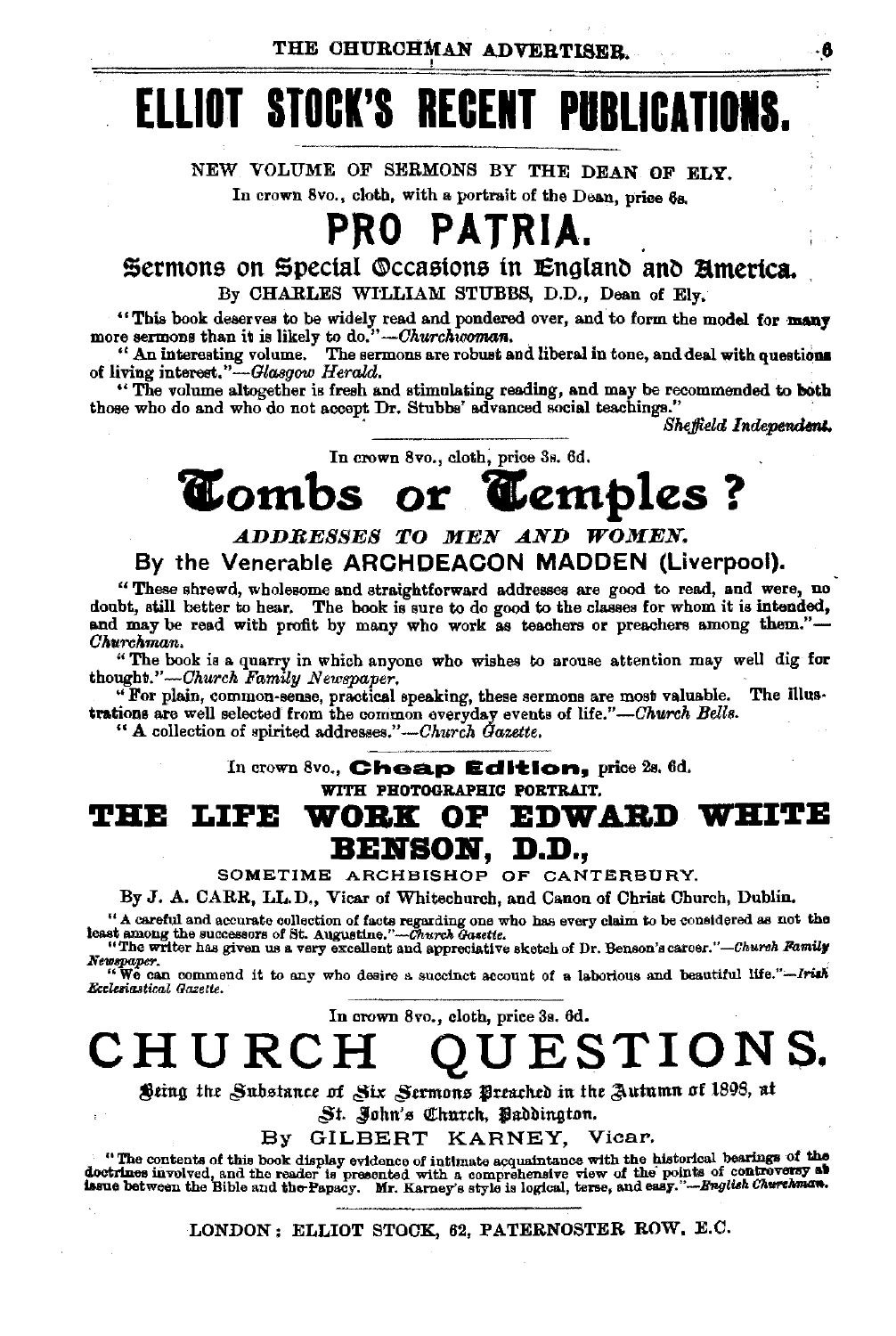# **ELLIOT STOCK'S RECENT PUBLICATIONS.**

NEW VOLUME OF SERMONS BY THE DEAN OF ELY. In crown 8vo., cloth, with a portrait of the Dean, price 6a.

# **PRO PATRIA.**

Sermons on Special \.\lccastons in Englan~ an~ **america.**  By CHARLES WILLIAM STUBBS, D.D., Dean of Ely.

"This book deserves to be widely read and pondered over, and to form the model for many more sermons than it is likely to do."-Churchicoman.<br>"An interesting volume. The sermons are robust and liberal in tone, and deal wit of living interest."-Glasgow *Herald.* 

"The volume altogether is fresh and stimulating reading, and may be recommended to both those who do and who do not accept Dr. Stubbs' advanced social teachings."

Sheffield Independent.

In crown 8vo., cloth, price 3s. 6d.

# **T**ombs or **T**emples ?

## *A.DDBESSES TO MEN A.ND WOMEN.*  By the Venerable **ARCHDEACON MADDEN** (Liverpool).

"Thelle shrewd, wholesome and straightforward addresses are good to read, and were, no doubt, still better to hear. The book is sure to do good to the classes for whom it is intended, and may be read with profit by many who work as teachers or preachers among them."-*Ohurchman.* 

"The book is a quarry in which anyone who wishes to arouse attention may well dig for thought."-Church Family Newspaper.

"For plain, common-sense, practical speaking, these sermons are most valuable. The illustrations are well selected from the common everyday events of *life."-Church Bells.* 

"A collection of spirited addresses."-Church Gazette.

In crown 8vo., **Cheap Edition**, price 2s. 6d. WITH PHOTOGRAPHIC PORTRAIT.

## THE LIFE WORK OF EDWARD WHITE **BElfSOlf, D.D.,**

SOMETIME ARCHBISHOP OF CANTERBURY.

By J. A. CARR, LL.D., Vicar of Whitechuroh, and Canon of Christ Church, Dublin.

" A careful and accurate collection of facts regarding one who has every claim to be considered as not the least among the state fact and the state in the state of  $\mathbb{R}$ . Augustine, " $\sim$  Church Facts and approxiative

Newspaper.<br>"We can commend it to any who desire a succinct account of a laborious and beautiful life."-Irish<br>Ecclesiastica! Gazette.

In crown Svo., cloth, price 3s. 6d.

**CHURCH QUESTIONS.** 

Sting the *Substance of Six Sermons* Breached in the Autumn of 1898, at

St. John's Church, Paddington.

By GILBERT KARNEY, Vicar.

The contents of this book display evidence of intimate acquaintance with the historical bearings of the "<br>doctrines involved, and the reader is presented with a comprehensive view of the points of controversy as<br>issue betw

LONDON: ELLIOT STOCK, 62, PATERNOSTER ROW, E.C.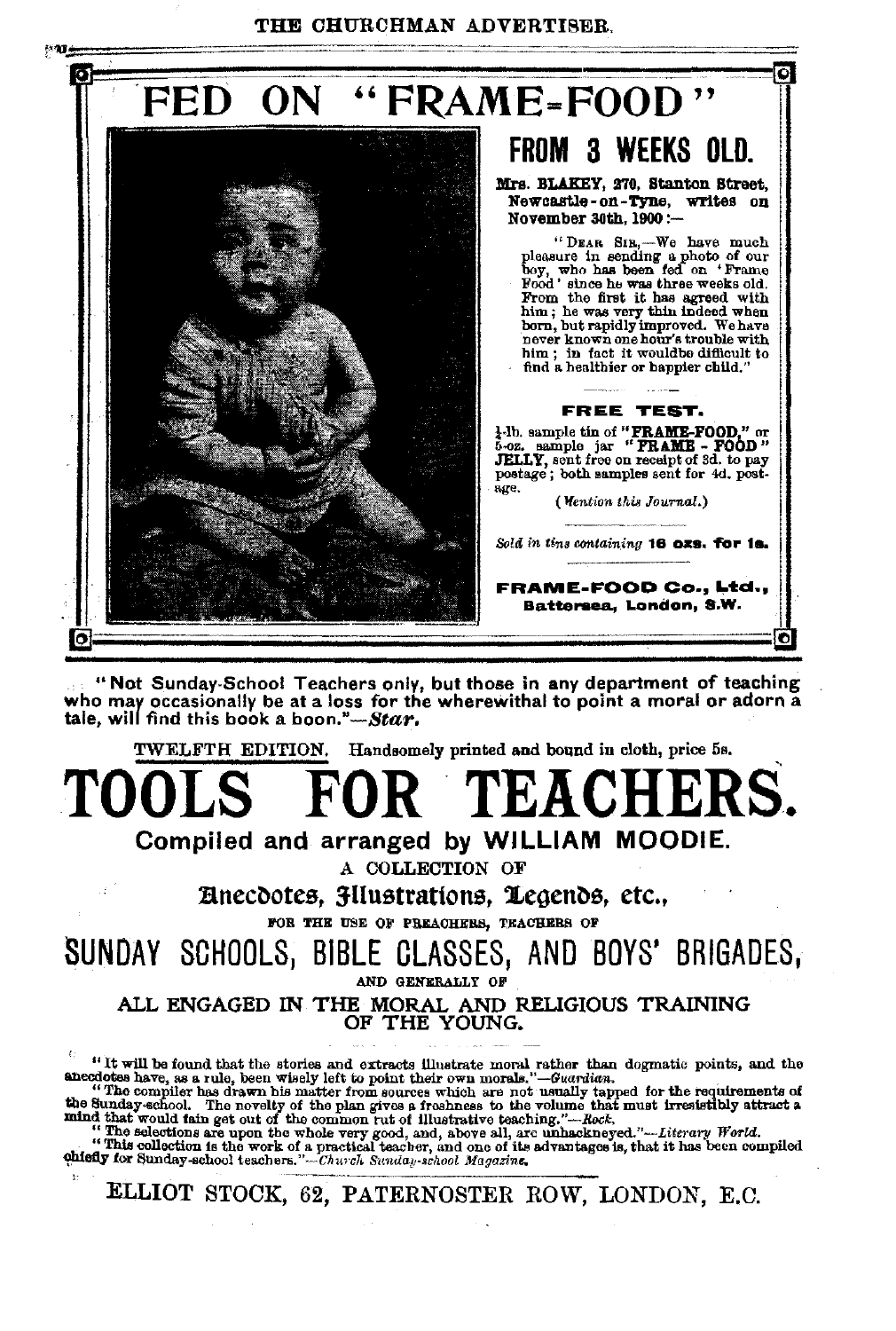THE CHURCHMAN ADVERTISER.



"Not Sunday-School Teachers only, but those in any department of teaching who may occasionally be at a loss for the wherewithal to point a moral or adorn a tale, will find this book a *boon."-Star.* 

TWELFTH EDITION. Handsomely printed and bound in cloth, prioe 5s.

TOOLS FOR TEACHERS.

Compiled and arranged by WILLIAM MOODIE.

A COLLECTION OF

Eliticoa, 3-Uustrations, 1egends, etc., FOR THE USE OF PREACHERS, TRACHERB OF

SUNDAY SCHOOLS, BIBLE GLASSES, AND BOYS' BRIGADES,

AND GENERALLY OF

ALL ENGAGED IN THE MORAL AND RELIGIOUS TRAINING OF THE YOUNG.

<sup>6</sup> If will be found that the stories and extracts illustrate moral rather than dogmatic points, and the anecdotes have, as a rule, been wisely left to point their own morals."—*Guardian*.<br>
"The complier has drawn his mat

"The selections are upon the whole very good, and, above all, are unhackneyed."—Literary World.<br>"This collection is the work of a practical teacher, and one of its advantages is, that it has been compiled<br>"The Sunday-seho

ELLIOT STOCK, 62, PATERNOSTER ROW, LONDON, E.C.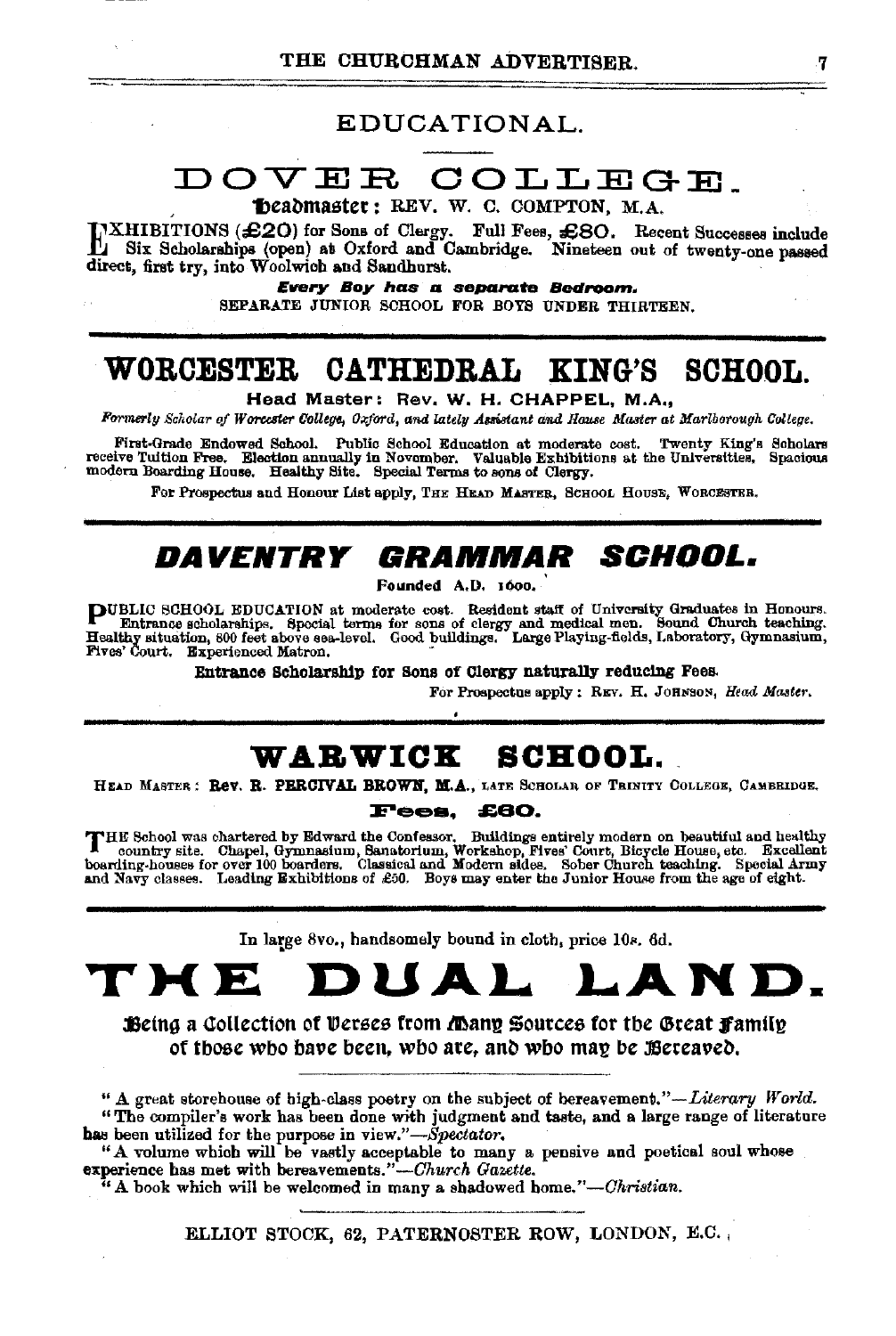## EDUCATIONAL.

# DOVER COLLEGE\_

<sup>~</sup>'f)eal)master: REV. W. C. COMPTON, M.A.

IXHIBITIONS (£20) for Sons of Clergy. Full Fees, £80. Recent Successes include<br>Six Scholarships (open) at Oxford and Cambridge. Nineteen out of twenty-one passed<br>direct funt to the Weslmink and Sandhamt direct, first try, into Woolwich and Sandhurst.

/Every Boy has a separate Bedroom.

SEPARATE JUNIOR SCHOOL FOR BOYS UNDER THIRTEEN.

# **WORCESTER CATHEDRAL KING'S SCHOOL.**

Head Master: Rev. W. H. CHAPPEL, M.A.,

*Formerly Scholar of Worcester College, Oxford, and lately Assistant and Hause Master at Marlborough College.* 

First-Grade Endowed School Public School Education at moderate coat. Twenty King's Scholars receive Tuition Free. Election annually in November. Valuable Exhibitions at the Universities, Spacious modern Boarding House. Healthy Site. Special Terms to sons of Clergy.

For Prospectus and Honour List apply, THE HEAD MASTER, SCHOOL HOUSE, WORCESTER.

# **DAVENTRY GRAMMAR SCHOOL.**

Founded A.D. 1600.

**PUBLIC** SCHOOL EDUCATION at moderate cost. Resident staff of University Graduates in Honours.<br>**Funtance scholarships**, Special terms for sons of clergy and medical men. Sound Church teaching.<br>Healthy situation, 800 feet a Fives' Court. Experienced Matron. •

Entrance Scholarship for Sons of Clergy naturally reducing Fees.

For Prospectus apply: REV. H. JOHNSON, *Head Master*.

## **WABWICB: SCHOOL.**

HEAD MASTER: Rev. R. PERCIVAL BROWN. M.A., LATE SCHOLAN OF TRINITY COLLEGE, CAMBRIDGE.

Fees. **£80.** 

THE School was chartered by Edward the Confessor. Buildings entirely modern on beautiful and healthy<br>country site. Chapel, Gymnasium, Santorium, Workshop, Fives' Court, Bicycle House, etc. Excellent<br>boarding-houses for ove

In large 8vo., handsomely bound in cloth, price 10s. 6d.

# **THE DUAL LAND.**

Being a Collection of Verses from Many Sources for the Great Family of those who have been, wbo are, and who may be Bereaved.

" A great storehouse of high-class poetry on the subject of bereavement."-Literary World. "The oompiler's work has been done with judgment and taste, and a large range of literature has been utilized for the purpose in view."-Spectator.

"A volume which will be vastly acceptable to many a pensive and poetical soul whose experience has met with bereavements."-Church Gazette.

"A book which will be welcomed in many a shadowed *home."-Ohristian.* 

ELLIOT STOCK, 62, PATERNOSTER ROW, LONDON, E.C.,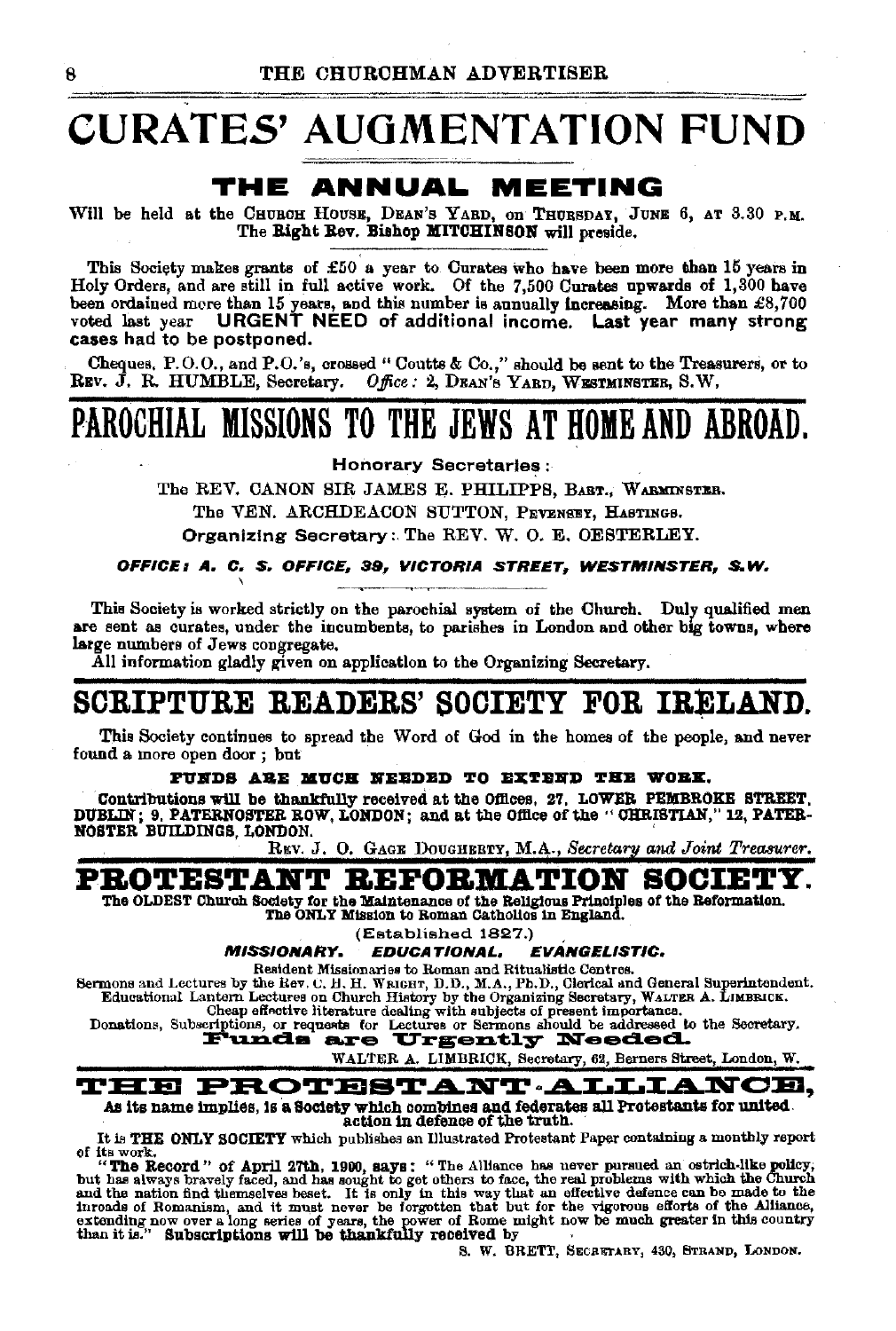# CURATES' AUGMENTATION FUND

## THE ANNUAL. MEETING

Will be held at the CHUROH HOUSE, DEAN'S YARD, on THURSDAY, JUNE 6, AT 3.30 P.M. The Right Rev. Bishop MITCHINSON will preside.

This Society makes grants of £50 a year to Curates who have been more than 15 years in Holy Orders, and are still in full active work. Of the 7,500 Curates upwards of 1,300 have been ordained more than 15 years, and this number is annually increasing. More than £8,700 voted last year URGENT NEED of additional income. Last year many strong cases had to be postponed.

Cheques, P.O.O., and P.O.'s, crossed "Coutts & Co.," should be sent to the Treasurers, or to REV. J. R. HUMBLE, Secretary. *Office*: 2, DEAN's YARD, WESTMINSTER, S.W.

# PAROCHIAL MISSIONS TO THE JEWS AT HOME AND ABROAD.

Honorary Secretaries:

The REV. CANON SIR JAMES E. PHILIPPS, BART., WARMINSTER.

The VEN. ARCHDEACON SUTTON, PEVENSEY, HASTINGS.

Organizing Secretary:. The REV. W. 0. E. OESTERLEY.

#### OFFICE *1* A. C. S. OFFICE, 39*1* VICTORIA STREET, WESTMINSTER, *S.* W. \

This Society is worked strictly on the parochial system of the Church. Duly qualified men are sent as curates, under the incumbents, to parishes in London and other big towns, where large numbers of Jews congregate.

All information gladly given on application to the Organizing Secretary.

## SCRIPTURE READERS' SOCIETY FOR IRELAND.

This Society continues to spread the Word of God in the homes of the people, and never found a more open door ; but

#### PUNDS ARE MUCH NEEDED TO EXTEND THE WOBK.

Contributions will be thankfully received at the Offices, 27, LOWER PEMBROKE STREET, DUBLIN; 9. PATERNOSTER ROW, LONDON; and at the Ofll.ce of the "OHRISTIAN," 12, PATER-NOSTER BUILDINGS, LONDON. '

RKV. J. O. GAGE DOUGHERTY, M.A., *Secretary and Joint Treasurer*.

## PROTESTANT REFORMATION SOCIETY.

The OLDEST Church Society for the Maintenance of the Religious Principles of the Reformation. The ONLY Mission to Roman Catholics in England.

(Established 1827.)<br>EDUCATIONAL, EVANGELISTIC. MISSIONARY. EDUCATIONAL,

Resident Missionaries to Roman and Ritualistic Centres.<br>Sermons and Lectures by the Rev. C. H. H. Watern, D.D., M.A., Ph.D., Clerical and General Superintendent.<br>Educational Lantern Lectures on Church History by the Organi

Cheap effective literature dealing with subjects of present importance.<br>Donations, Subscriptions, or requests for Lectures or Sermons should be addressed to the Secretary.<br>**E'unde are Urgently Needed.** 

WALTER A. LIMBRICK, Secretary, 62, Berners Street, London, W.

#### THE PROTESTANT ALLIANCE. As its name implies, is a Society which combines and federates all Protestants for united.

action in defence of the truth.<br>It is THE ONLY SOCIETY which publishes an Illustrated Protestant Paper containing a monthly report It is THE ONLY SOCIETY which publishes an Illustrated Protestant Paper containing a monthly report of its work.

"The Record" of April 27th, 1900, says: "The Alliance has never pursued an ostrich-like policy, but has always bravely faced, and has sought to get others to face, the real problems with which the Church and the nation fin extending now over a long series of years, the power of Rome might now be much greater in this country than it<br>than it is." Subscriptions will be thankfully received by .<br>"BRETT, SECRETARY, 830, STRAND, LONDON.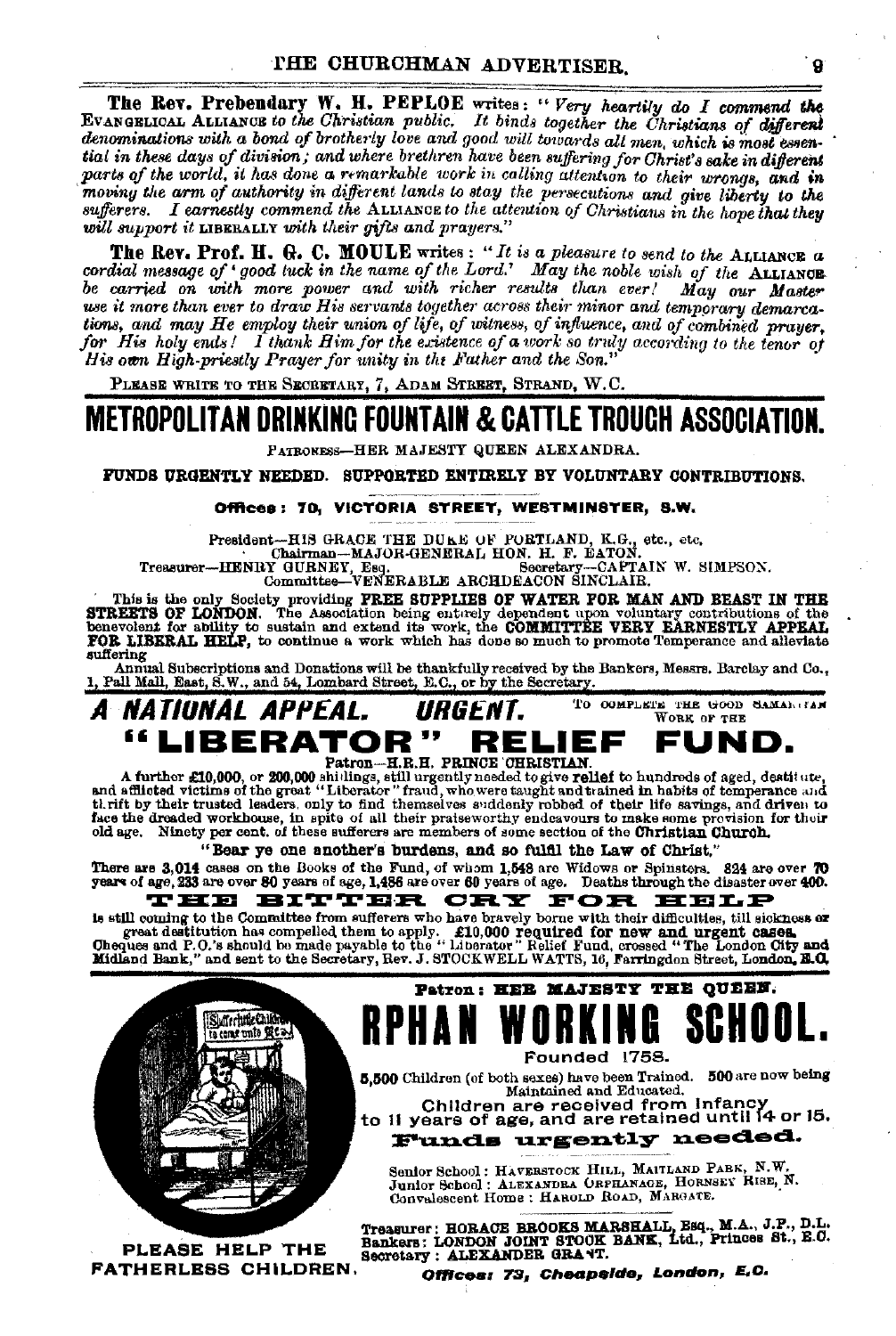The Rev. Prebendary W. H. PEPLOE writes: "Very heartily do I commend the EVANGELICAL ALLIANCE to the Christian public. It binds together the Christians of different denominations with a bond of brotherly love and good will towards all men, which is most essential in these days of division; and where brethren have been suffering for Christ's sake in different parts of the world, it has done a remarkable work in calling attention to their wrongs, and in moving the arm of authority in different lands to stay the persecutions and give liberty to the sufferers. I carnestly commend the ALLIANCE to the attention of Christians in the hove that they will support it LIBERALLY with their gifts and prayers."

The Rev. Prof. H. G. C. MOULE writes: "It is a pleasure to send to the ALLIANCE a cordial message of 'good tuck in the name of the Lord.' May the noble wish of the ALLIANCE be carried on with more power and with richer results than ever! May our Master use it more than ever to draw His servants together across their minor and temporary demarcations, and may He employ their union of life, of witness, of influence, and of combined prayer. for His holy ends! I thank Him for the existence of a work so truly according to the tenor of His own High-priestly Prayer for unity in the Father and the Son.'

PLEASE WRITE TO THE SECRETARY, 7, ADAM STREET, STRAND, W.C.

# **METROPOLITAN DRINKING FOUNTAIN & CATTLE TROUCH ASSOCIATION**

PATRONESS-HER MAJESTY QUEEN ALEXANDRA.

FUNDS URGENTLY NEEDED. SUPPORTED ENTIRELY BY VOLUNTARY CONTRIBUTIONS.

#### Offices: 70. VICTORIA STREET, WESTMINSTER, S.W.

President-HIS GRACE THE DUKE OF PORTLAND, K.G., etc., etc., Chairman-MAJOR-GENERAL HON. H. F. EATON.<br>Treasurer-HENRY GURNEY, Eeq., etc., Secretary-CAFTAIN W. 5.

-CAPTAIN W. SIMPSON.

This is the only Society providing FREE SUPPLIES OF WATER FOR MAN AND BEAST IN THE STREETS OF LONDON. The Association being enterly dependent upon voluntary contributions of the SMRIERT OF LONDON. Sensitive contributions o suffering

Annual Subscriptions and Donations will be thankfully received by the Bankers, Messrs. Barclay and Co., 1, Pall Mall, East, S.W., and 54, Lombard Street, E.C., or by the Secretary.

#### A NATIONAL APPEAL. TO COMPLETE THE GOOD SAMAN (FAN URGENT. WORK OF THE "LIBERATOR" RELIEE FUND. Patron-H.R.H. PRINCE CHRISTIAN

A further £10,000, or 200,000 shillings, still urgently needed to give relief to hundreds of aged, destitute,<br>and afflicted to give a still urgently needed to give relief to hundreds of aged, destitute,<br>at the given of the old age. Ninety per cent. of these sufferers are members of some section of the Christian Church.

"Bear ye one another's burdens, and so fulfil the Law of Christ,"

There are 3,014 cases on the Books of the Fund, of whom 1,548 are Widows or Spinsters. 824 are over 70 years of age, 233 are over 80 years of age, 1,486 are over 60 years of age. HE BITTER CRY FOR HELP

is still coming to the Committee from sufferers who have bravely borne with their difficulties, till sickness or great destitution has compelled them to apply. £10,000 required for new and urgent cases.<br>Cheques and P.O.'s should be made payable to the "Liberator" Relief Fund, crossed "The London City and<br>Midland Bank," and sent to th

![](_page_8_Picture_18.jpeg)

PLEASE HELP THE **FATHERLESS CHILDREN.** 

![](_page_8_Picture_20.jpeg)

5,500 Children (of both sexes) have been Trained. 500 are now being Maintained and Educated.

Children are received from Infancy

to 11 years of age, and are retained until 14 or 15. **Funds urgently needed.** 

Senior School: HAVERSTOCK HILL, MAITLAND PABK, N.W.<br>Junior School: ALEXANDRA ORPHANAGE, HORNSEY RISE, N.<br>Convalescent Home : HAROLD ROAD, MARGATE.

Treasurer: HORACE BROOKS MARSHALL, Esq., M.A., J.P., D.L.<br>Bankers: LONDON JOINT STOOK BANK, Ltd., Princes St., E.O.<br>Secretary: ALEXANDER GRANT.

Offices: 73, Cheapside, London, E.C.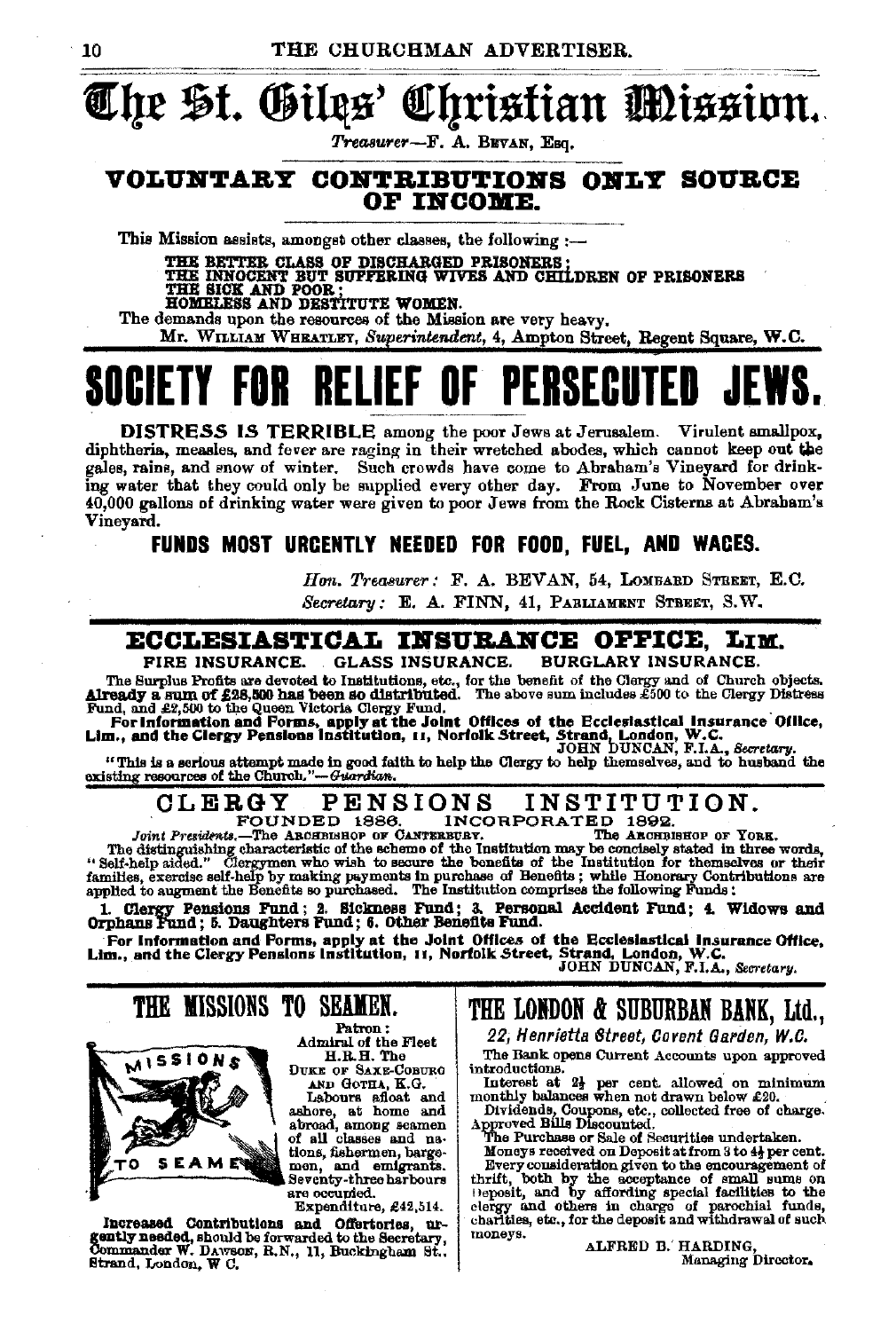# trlre §t. ®tltts~ fEl}tistian mtsstnn .. *Treasurer-F.* A. B:IWAN, Esq.

#### VOLUNTARY CONTRIBUTIONS ONLY SOURCE OF INCOME.

This Mission assists, amongst other classes, the following  $:$ -

TBB CLASS OF DISCHABGED PRISONERS· TBB BUT S'UPFERING WIVES AND Ciiif.DREN OF PRISONERS TBB POOR·

HOMELESS AND DESTITUTE WOMEN.

The demands upon the resources of the Mission are very heavy.

Mr. WILLIAM WHEATLEY, Superintendent, 4, Ampton Street, Regent Square, W.C.

# SOCIETY FOR RELIEF OF PERSECUTED **J**

DISTRESS IS TERRIBLE among the poor Jews at Jerusalem. Virulent smallpox, diphtheria, measles, and fever are raging in their wretched abodes, which cannot keep out the gales, rains, and snow of winter. Such crowds have come to Abraham's Vineyard for drinking water that they could only be supplied every other day. From June to November over 40,000 gallons of drinking water were given to poor Jews from the Rock Cisterns at Abraham's Vineyard.

### FUNDS MOST URCENTLY NEEDED FOR FOOD, FUEL, AND WACES.

Hon. Treasurer: F. A. BEVAN, 54, LOMBARD STREET, E.C. *Secretary:* E. A. FINN, 41, PARLIAMENT STREET, S.W.

#### **ECCLESIASTICAL INSURANCE OFFICE, LIM.**<br>FIRE INSURANCE. GLASS INSURANCE. BURGLARY INSURANCE. FIRE INSURANCE. GLASS INSURANCE. BURGLARY INSURANCE.

The Surplus Profits are devoted to Institutions, etc., for the benefit of the Clergy and of Church objects. Already a. sum of £28,500 has been so distributed. The above sum includes £500 to the Clergy Distress

Fund, and £2,500 to the Queen Victoria Clergy Fund.<br>For Information and Forms, apply at the Joint Offices of the Ecclesiastical Insurance Office,<br>Lim., and the Clergy Pensions Institution, 11, Norfolk Street, Strand, Londo

"This is a serious attempt made in good faith to help the Clergy to help themselves, and to husband the existing resources of the Church."-6'wardian.

CLERGY PENSIONS INSTITUTION. INCORPORATED 1892.<br>RECRY. The ARCHEISHOP OF YORK.

*Joint Presidents.*-The ABOHBISHOP OF CANTERBURY.

The distinguishing characteristic of the scheme of the Institution may be concisely stated in three words, "Self-help aided." Clergymen who wish to secure the benefits of the Institution for themselves or their families, e

1. Clergy Pensions Fund; 2. Sickness Fund; 3. Personal Accident Fund; 4. Widows and Orphans Fund; 5. Daughters Fund; 6. Other Benefits Fund.

For Information and Forms, apply at the Joint Offices of the Ecclesiastical Insurance Office, Lim., and the Clergy Pensions Institution, 11, Norfolk Street, Strand, London, W.C. Lim., *Secretary.*<br>JOHN DUNCAN, F.I.A., *Sec* 

THE MISSIONS TO SEAMEN.

![](_page_9_Picture_25.jpeg)

Patron: Admiral of the Fleet<br>H.R.H. The DUKE OF SAXE-COBURG

AND GOTHA, K.G. Labours afloat and

ashore, at home and abroad, among seamen of all classes and namen, and emigrants. Seventy-three harbours<br>are occupied.

Expenditure, £42,514.

Increased Contributions and Offertories, urgently needed, should be forwarded to the Secretary, Commander W. DA\vson, R.N., 11, Buckingham Bt..

## THE LONDON & SUBURBAN BANK, Ltd.,

22; Henrietta Street, Covent Garden, W.C.<br>The Bank opens Current Accounts upon approved

The Bank opens Current Accounts upon approved<br>introductions.<br>Interest at 2<sup>1</sup> per cent. allowed on minimum<br>monthly balances when not drawn below £20.

Dividends, Coupons, etc., collected free of charge.<br>Dividends, Coupons, etc., collected free of charge.<br>The Purchase or Sale of Securities undertaken.

Moneys received on Deposit at from 3 to 44 per cent.<br>Every consideration given to the encouragement of Herry consideration given to the encouragement of<br>thrift, both by the acceptance of small sums on<br>leposit, and by affording special facilities to the<br>clergy and others in charge of parcohial funds,<br>charities, etc., for the

moneys. ALFRED B. HARDING, Managing Director.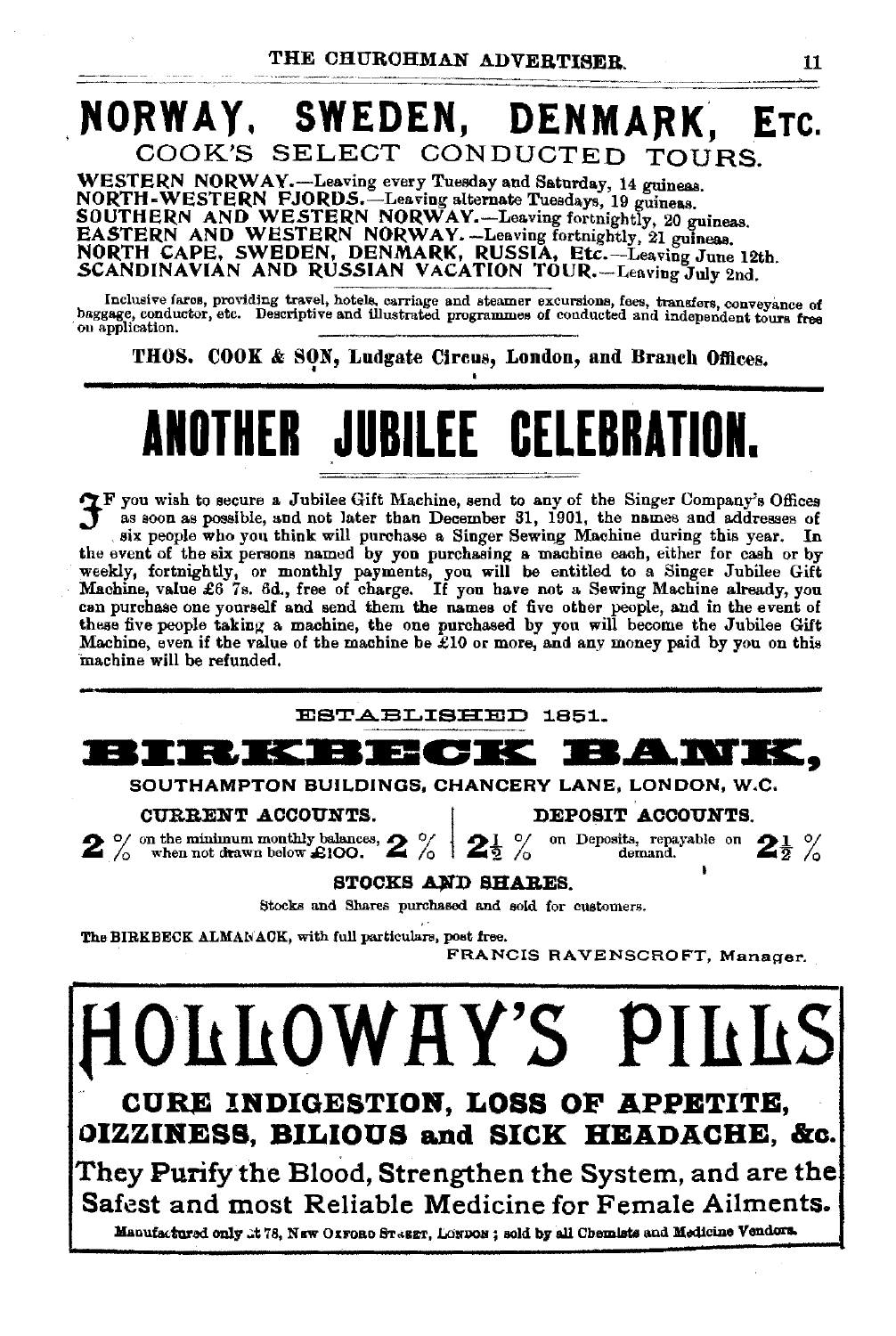# NORWAY. SWEDEN, DENMARK, ETC. COOK'S SELECT CONDUCTED TOURS.

WESTERN NORWAY.-Leaving every Tuesday and Saturday, 14 guineas. NORTH-WESTERN FJORDS.—Leaving alternate Tuesdays, 19 guineas.<br>SOUTHERN AND WESTERN NORWAY.—Leaving fortnightly, 20 guineas.<br>EASTERN AND WESTERN NORWAY.—Leaving fortnightly, 21 guineas.<br>NORTH CAPE, SWEDEN, DENMARK, RUSSIA,

Inclusive fares, providing travel, hotels, carriage and steamer excursions, fees, transfers, conveyance of baggage, conductor, etc. Descriptive and illustrated programmes of conducted and independent tours free<br>on applicat

THOS. COOK & SON, Ludgate Circus, London, and Branch Offices.

# **ANOTHER JUBILEE CELEBRATION.**

~F you wish to secure a. Jubilee Gift Machine, send to any of the Singer Company's Offices J a.s soon as possible, and not later than December 31, 1901, the names and addresses of six people who you think will purchase a Singer Sewing Machine during this year. In the event of the six persons named by you purchasing a machine each, either for cash or by weekly, fortnightly, or monthly payments, you w these five people taking a. machine, the one purchased by you will become the Jubilee Gift Machine, even if the value of the machine be  $\mathcal{L}10$  or more, and any money paid by you on this machine will be refunded.

![](_page_10_Picture_7.jpeg)

STOCKS AND SHARES.

Stocks and Shares purchased and sold for customers.

The BIRKBECK ALMANACK, with full particulars, post free.

FRANCIS RAVENSCROFT, Manager.

**fi011110WRY'S PlllllS CURB IIIDIGESTION, LOSS OF APPETITE, OIZZIBESS, BILIOUS and SICK HEADACHE, &c .** . They Purify the Blood, Strengthen the System, and are the Safest and most Reliable Medicine for Female Ailments. Manufactured only .:t 78, NEW OXFORD ST«SET, LONDON; sold by all Chemists and Medicine Vendors.